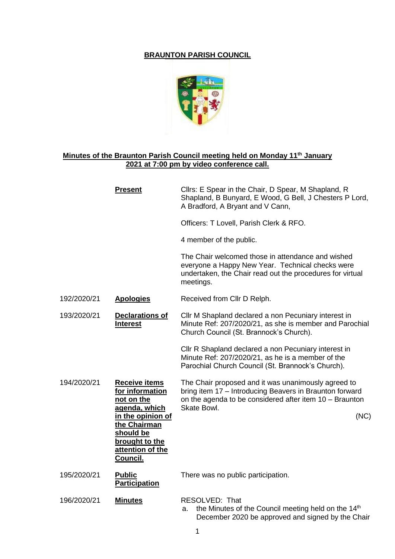## **BRAUNTON PARISH COUNCIL**



## **Minutes of the Braunton Parish Council meeting held on Monday 11th January 2021 at 7:00 pm by video conference call.**

|             | <b>Present</b>                                                                                                 | Cllrs: E Spear in the Chair, D Spear, M Shapland, R<br>Shapland, B Bunyard, E Wood, G Bell, J Chesters P Lord,<br>A Bradford, A Bryant and V Cann,                                       |
|-------------|----------------------------------------------------------------------------------------------------------------|------------------------------------------------------------------------------------------------------------------------------------------------------------------------------------------|
|             |                                                                                                                | Officers: T Lovell, Parish Clerk & RFO.                                                                                                                                                  |
|             |                                                                                                                | 4 member of the public.                                                                                                                                                                  |
|             |                                                                                                                | The Chair welcomed those in attendance and wished<br>everyone a Happy New Year. Technical checks were<br>undertaken, the Chair read out the procedures for virtual<br>meetings.          |
| 192/2020/21 | <b>Apologies</b>                                                                                               | Received from Cllr D Relph.                                                                                                                                                              |
| 193/2020/21 | <b>Declarations of</b><br><b>Interest</b>                                                                      | Cllr M Shapland declared a non Pecuniary interest in<br>Minute Ref: 207/2020/21, as she is member and Parochial<br>Church Council (St. Brannock's Church).                               |
|             |                                                                                                                | Cllr R Shapland declared a non Pecuniary interest in<br>Minute Ref: 207/2020/21, as he is a member of the<br>Parochial Church Council (St. Brannock's Church).                           |
| 194/2020/21 | <b>Receive items</b><br>for information<br>not on the<br>agenda, which                                         | The Chair proposed and it was unanimously agreed to<br>bring item 17 - Introducing Beavers in Braunton forward<br>on the agenda to be considered after item 10 - Braunton<br>Skate Bowl. |
|             | in the opinion of<br>the Chairman<br>should be<br><u>brought to the</u><br>attention of the<br><b>Council.</b> | (NC)                                                                                                                                                                                     |
| 195/2020/21 | <b>Public</b><br><b>Participation</b>                                                                          | There was no public participation.                                                                                                                                                       |
| 196/2020/21 | <b>Minutes</b>                                                                                                 | RESOLVED: That<br>the Minutes of the Council meeting held on the 14 <sup>th</sup><br>а.<br>December 2020 be approved and signed by the Chair                                             |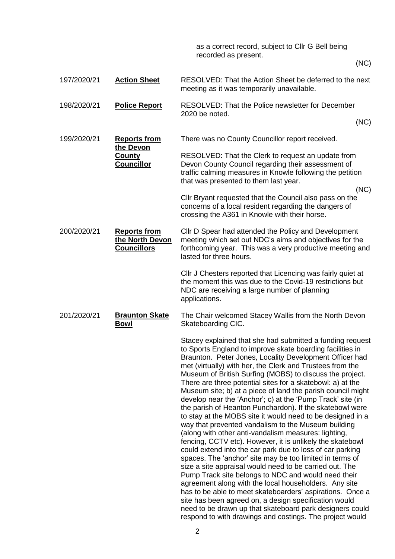as a correct record, subject to Cllr G Bell being recorded as present.

(NC)

197/2020/21 **Action Sheet** RESOLVED: That the Action Sheet be deferred to the next meeting as it was temporarily unavailable. 198/2020/21 **Police Report** RESOLVED: That the Police newsletter for December 2020 be noted. (NC) 199/2020/21 **Reports from the Devon County Councillor** There was no County Councillor report received. RESOLVED: That the Clerk to request an update from Devon County Council regarding their assessment of traffic calming measures in Knowle following the petition that was presented to them last year. (NC) Cllr Bryant requested that the Council also pass on the concerns of a local resident regarding the dangers of crossing the A361 in Knowle with their horse. 200/2020/21 **Reports from the North Devon Councillors** Cllr D Spear had attended the Policy and Development meeting which set out NDC's aims and objectives for the forthcoming year. This was a very productive meeting and lasted for three hours. Cllr J Chesters reported that Licencing was fairly quiet at the moment this was due to the Covid-19 restrictions but NDC are receiving a large number of planning applications. 201/2020/21 **Braunton Skate Bowl** The Chair welcomed Stacey Wallis from the North Devon Skateboarding CIC. Stacey explained that she had submitted a funding request to Sports England to improve skate boarding facilities in Braunton. Peter Jones, Locality Development Officer had met (virtually) with her, the Clerk and Trustees from the Museum of British Surfing (MOBS) to discuss the project. There are three potential sites for a skatebowl: a) at the Museum site; b) at a piece of land the parish council might develop near the 'Anchor'; c) at the 'Pump Track' site (in the parish of Heanton Punchardon). If the skatebowl were to stay at the MOBS site it would need to be designed in a way that prevented vandalism to the Museum building (along with other anti-vandalism measures: lighting, fencing, CCTV etc). However, it is unlikely the skatebowl could extend into the car park due to loss of car parking spaces. The 'anchor' site may be too limited in terms of size a site appraisal would need to be carried out. The Pump Track site belongs to NDC and would need their agreement along with the local householders. Any site has to be able to meet skateboarders' aspirations. Once a site has been agreed on, a design specification would

need to be drawn up that skateboard park designers could respond to with drawings and costings. The project would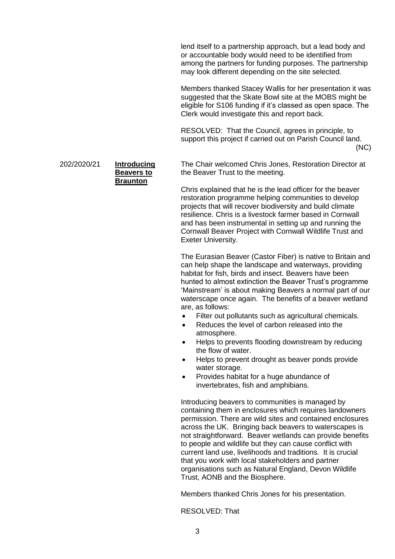lend itself to a partnership approach, but a lead body and or accountable body would need to be identified from among the partners for funding purposes. The partnership may look different depending on the site selected.

Members thanked Stacey Wallis for her presentation it was suggested that the Skate Bowl site at the MOBS might be eligible for S106 funding if it's classed as open space. The Clerk would investigate this and report back.

RESOLVED: That the Council, agrees in principle, to support this project if carried out on Parish Council land. (NC)

202/2020/21 **Introducing** 

**Beavers to Braunton**

The Chair welcomed Chris Jones, Restoration Director at the Beaver Trust to the meeting.

Chris explained that he is the lead officer for the beaver restoration programme helping communities to develop projects that will recover biodiversity and build climate resilience. Chris is a livestock farmer based in Cornwall and has been instrumental in setting up and running the Cornwall Beaver Project with Cornwall Wildlife Trust and Exeter University.

The Eurasian Beaver (Castor Fiber) is native to Britain and can help shape the landscape and waterways, providing habitat for fish, birds and insect. Beavers have been hunted to almost extinction the Beaver Trust's programme 'Mainstream' is about making Beavers a normal part of our waterscape once again. The benefits of a beaver wetland are, as follows:

- Filter out pollutants such as agricultural chemicals.
- Reduces the level of carbon released into the atmosphere.
- Helps to prevents flooding downstream by reducing the flow of water.
- Helps to prevent drought as beaver ponds provide water storage.
- Provides habitat for a huge abundance of invertebrates, fish and amphibians.

Introducing beavers to communities is managed by containing them in enclosures which requires landowners permission. There are wild sites and contained enclosures across the UK. Bringing back beavers to waterscapes is not straightforward. Beaver wetlands can provide benefits to people and wildlife but they can cause conflict with current land use, livelihoods and traditions. It is crucial that you work with local stakeholders and partner organisations such as Natural England, Devon Wildlife Trust, AONB and the Biosphere.

Members thanked Chris Jones for his presentation.

RESOLVED: That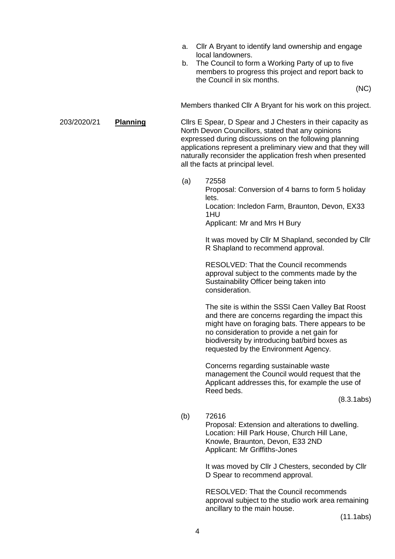- a. Cllr A Bryant to identify land ownership and engage local landowners.
- b. The Council to form a Working Party of up to five members to progress this project and report back to the Council in six months.

(NC)

Members thanked Cllr A Bryant for his work on this project.

203/2020/21 **Planning** Cllrs E Spear, D Spear and J Chesters in their capacity as North Devon Councillors, stated that any opinions expressed during discussions on the following planning applications represent a preliminary view and that they will naturally reconsider the application fresh when presented all the facts at principal level.

> (a) 72558 Proposal: Conversion of 4 barns to form 5 holiday lets. Location: Incledon Farm, Braunton, Devon, EX33

> > 1HU Applicant: Mr and Mrs H Bury

It was moved by Cllr M Shapland, seconded by Cllr R Shapland to recommend approval.

RESOLVED: That the Council recommends approval subject to the comments made by the Sustainability Officer being taken into consideration.

The site is within the SSSI Caen Valley Bat Roost and there are concerns regarding the impact this might have on foraging bats. There appears to be no consideration to provide a net gain for biodiversity by introducing bat/bird boxes as requested by the Environment Agency.

Concerns regarding sustainable waste management the Council would request that the Applicant addresses this, for example the use of Reed beds.

(8.3.1abs)

(b) 72616

Proposal: Extension and alterations to dwelling. Location: Hill Park House, Church Hill Lane, Knowle, Braunton, Devon, E33 2ND Applicant: Mr Griffiths-Jones

It was moved by Cllr J Chesters, seconded by Cllr D Spear to recommend approval.

RESOLVED: That the Council recommends approval subject to the studio work area remaining ancillary to the main house.

(11.1abs)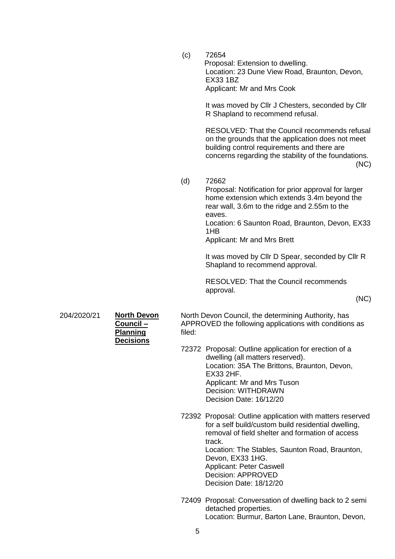(c) 72654 Proposal: Extension to dwelling. Location: 23 Dune View Road, Braunton, Devon, EX33 1BZ Applicant: Mr and Mrs Cook

> It was moved by Cllr J Chesters, seconded by Cllr R Shapland to recommend refusal.

RESOLVED: That the Council recommends refusal on the grounds that the application does not meet building control requirements and there are concerns regarding the stability of the foundations. (NC)

(d) 72662

Proposal: Notification for prior approval for larger home extension which extends 3.4m beyond the rear wall, 3.6m to the ridge and 2.55m to the eaves.

Location: 6 Saunton Road, Braunton, Devon, EX33 1HB

Applicant: Mr and Mrs Brett

It was moved by Cllr D Spear, seconded by Cllr R Shapland to recommend approval.

RESOLVED: That the Council recommends approval.

(NC)

204/2020/21 **North Devon** 

**Council – Planning Decisions** North Devon Council, the determining Authority, has APPROVED the following applications with conditions as filed:

- 72372 Proposal: Outline application for erection of a dwelling (all matters reserved). Location: 35A The Brittons, Braunton, Devon, EX33 2HF. Applicant: Mr and Mrs Tuson Decision: WITHDRAWN Decision Date: 16/12/20
- 72392 Proposal: Outline application with matters reserved for a self build/custom build residential dwelling, removal of field shelter and formation of access track. Location: The Stables, Saunton Road, Braunton, Devon, EX33 1HG. Applicant: Peter Caswell Decision: APPROVED Decision Date: 18/12/20
- 72409 Proposal: Conversation of dwelling back to 2 semi detached properties. Location: Burmur, Barton Lane, Braunton, Devon,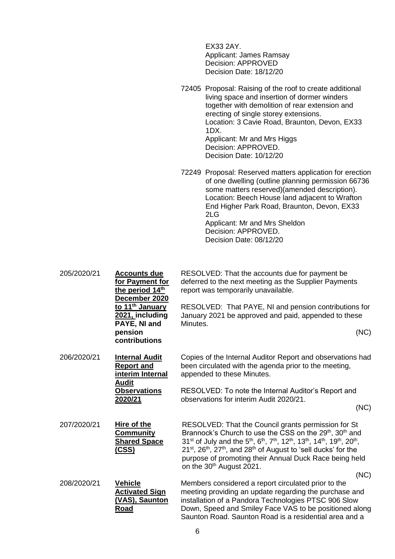EX33 2AY. Applicant: James Ramsay Decision: APPROVED Decision Date: 18/12/20

72405 Proposal: Raising of the roof to create additional living space and insertion of dormer winders together with demolition of rear extension and erecting of single storey extensions. Location: 3 Cavie Road, Braunton, Devon, EX33 1DX. Applicant: Mr and Mrs Higgs Decision: APPROVED. Decision Date: 10/12/20

72249 Proposal: Reserved matters application for erection of one dwelling (outline planning permission 66736 some matters reserved)(amended description). Location: Beech House land adjacent to Wrafton End Higher Park Road, Braunton, Devon, EX33 2LG Applicant: Mr and Mrs Sheldon Decision: APPROVED. Decision Date: 08/12/20

205/2020/21 **Accounts due for Payment for the period 14th December 2020 to 11th January 2021, including PAYE, NI and pension contributions** RESOLVED: That the accounts due for payment be deferred to the next meeting as the Supplier Payments report was temporarily unavailable. RESOLVED: That PAYE, NI and pension contributions for January 2021 be approved and paid, appended to these Minutes. (NC) 206/2020/21 **Internal Audit Report and interim Internal Audit Observations 2020/21** Copies of the Internal Auditor Report and observations had been circulated with the agenda prior to the meeting, appended to these Minutes. RESOLVED: To note the Internal Auditor's Report and observations for interim Audit 2020/21. (NC) 207/2020/21 **Hire of the Community Shared Space (CSS)** RESOLVED: That the Council grants permission for St Brannock's Church to use the CSS on the  $29<sup>th</sup>$ ,  $30<sup>th</sup>$  and  $31^{st}$  of July and the 5<sup>th</sup>, 6<sup>th</sup>, 7<sup>th</sup>, 12<sup>th</sup>, 13<sup>th</sup>, 14<sup>th</sup>, 19<sup>th</sup>, 20<sup>th</sup>,  $21^{st}$ ,  $26^{th}$ ,  $27^{th}$ , and  $28^{th}$  of August to 'sell ducks' for the purpose of promoting their Annual Duck Race being held on the 30<sup>th</sup> August 2021. (NC) 208/2020/21 **Vehicle Activated Sign (VAS), Saunton Road** Members considered a report circulated prior to the meeting providing an update regarding the purchase and installation of a Pandora Technologies PTSC 906 Slow Down, Speed and Smiley Face VAS to be positioned along Saunton Road. Saunton Road is a residential area and a